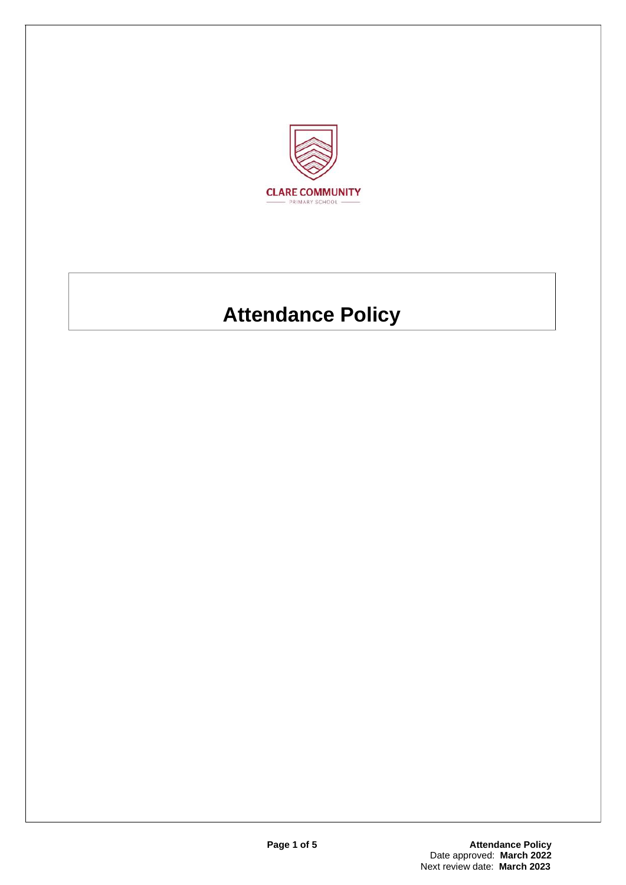

# **Attendance Policy**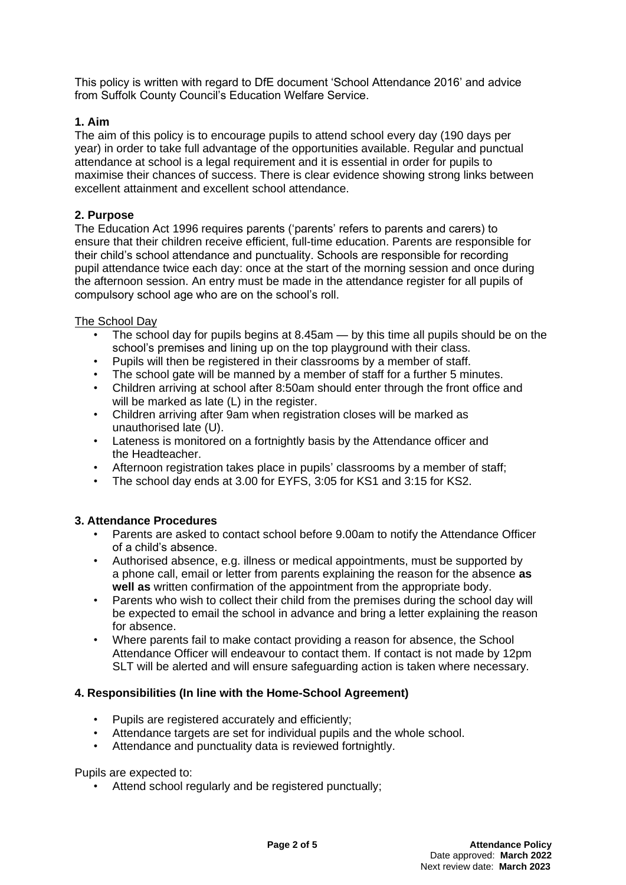This policy is written with regard to DfE document 'School Attendance 2016' and advice from Suffolk County Council's Education Welfare Service.

# **1. Aim**

The aim of this policy is to encourage pupils to attend school every day (190 days per year) in order to take full advantage of the opportunities available. Regular and punctual attendance at school is a legal requirement and it is essential in order for pupils to maximise their chances of success. There is clear evidence showing strong links between excellent attainment and excellent school attendance.

# **2. Purpose**

The Education Act 1996 requires parents ('parents' refers to parents and carers) to ensure that their children receive efficient, full-time education. Parents are responsible for their child's school attendance and punctuality. Schools are responsible for recording pupil attendance twice each day: once at the start of the morning session and once during the afternoon session. An entry must be made in the attendance register for all pupils of compulsory school age who are on the school's roll.

## The School Day

- The school day for pupils begins at  $8.45$ am  $-$  by this time all pupils should be on the school's premises and lining up on the top playground with their class.
- Pupils will then be registered in their classrooms by a member of staff.
- The school gate will be manned by a member of staff for a further 5 minutes.
- Children arriving at school after 8:50am should enter through the front office and will be marked as late (L) in the register.
- Children arriving after 9am when registration closes will be marked as unauthorised late (U).
- Lateness is monitored on a fortnightly basis by the Attendance officer and the Headteacher.
- Afternoon registration takes place in pupils' classrooms by a member of staff;
- The school day ends at 3.00 for EYFS, 3:05 for KS1 and 3:15 for KS2.

## **3. Attendance Procedures**

- Parents are asked to contact school before 9.00am to notify the Attendance Officer of a child's absence.
- Authorised absence, e.g. illness or medical appointments, must be supported by a phone call, email or letter from parents explaining the reason for the absence **as well as** written confirmation of the appointment from the appropriate body.
- Parents who wish to collect their child from the premises during the school day will be expected to email the school in advance and bring a letter explaining the reason for absence.
- Where parents fail to make contact providing a reason for absence, the School Attendance Officer will endeavour to contact them. If contact is not made by 12pm SLT will be alerted and will ensure safeguarding action is taken where necessary.

## **4. Responsibilities (In line with the Home-School Agreement)**

- Pupils are registered accurately and efficiently:
- Attendance targets are set for individual pupils and the whole school.
- Attendance and punctuality data is reviewed fortnightly.

Pupils are expected to:

• Attend school regularly and be registered punctually;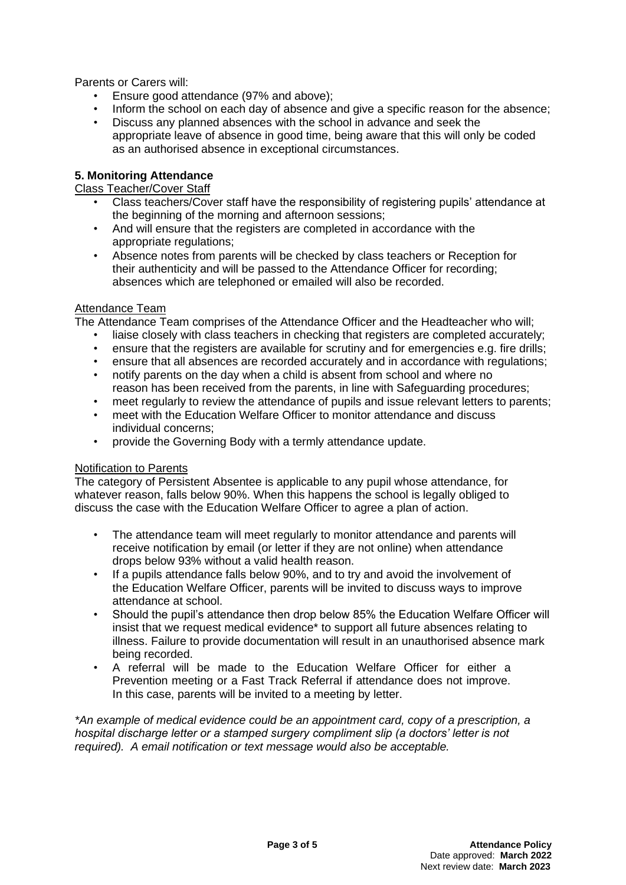Parents or Carers will:

- Ensure good attendance (97% and above);
- Inform the school on each day of absence and give a specific reason for the absence;
- Discuss any planned absences with the school in advance and seek the appropriate leave of absence in good time, being aware that this will only be coded as an authorised absence in exceptional circumstances.

# **5. Monitoring Attendance**

## Class Teacher/Cover Staff

- Class teachers/Cover staff have the responsibility of registering pupils' attendance at the beginning of the morning and afternoon sessions;
- And will ensure that the registers are completed in accordance with the appropriate regulations;
- Absence notes from parents will be checked by class teachers or Reception for their authenticity and will be passed to the Attendance Officer for recording; absences which are telephoned or emailed will also be recorded.

#### Attendance Team

The Attendance Team comprises of the Attendance Officer and the Headteacher who will;

- liaise closely with class teachers in checking that registers are completed accurately;
- ensure that the registers are available for scrutiny and for emergencies e.g. fire drills;
- ensure that all absences are recorded accurately and in accordance with regulations;
- notify parents on the day when a child is absent from school and where no reason has been received from the parents, in line with Safeguarding procedures;
- meet regularly to review the attendance of pupils and issue relevant letters to parents;
- meet with the Education Welfare Officer to monitor attendance and discuss individual concerns;
- provide the Governing Body with a termly attendance update.

## Notification to Parents

The category of Persistent Absentee is applicable to any pupil whose attendance, for whatever reason, falls below 90%. When this happens the school is legally obliged to discuss the case with the Education Welfare Officer to agree a plan of action.

- The attendance team will meet regularly to monitor attendance and parents will receive notification by email (or letter if they are not online) when attendance drops below 93% without a valid health reason.
- If a pupils attendance falls below 90%, and to try and avoid the involvement of the Education Welfare Officer, parents will be invited to discuss ways to improve attendance at school.
- Should the pupil's attendance then drop below 85% the Education Welfare Officer will insist that we request medical evidence\* to support all future absences relating to illness. Failure to provide documentation will result in an unauthorised absence mark being recorded.
- A referral will be made to the Education Welfare Officer for either a Prevention meeting or a Fast Track Referral if attendance does not improve. In this case, parents will be invited to a meeting by letter.

*\*An example of medical evidence could be an appointment card, copy of a prescription, a hospital discharge letter or a stamped surgery compliment slip (a doctors' letter is not required). A email notification or text message would also be acceptable.*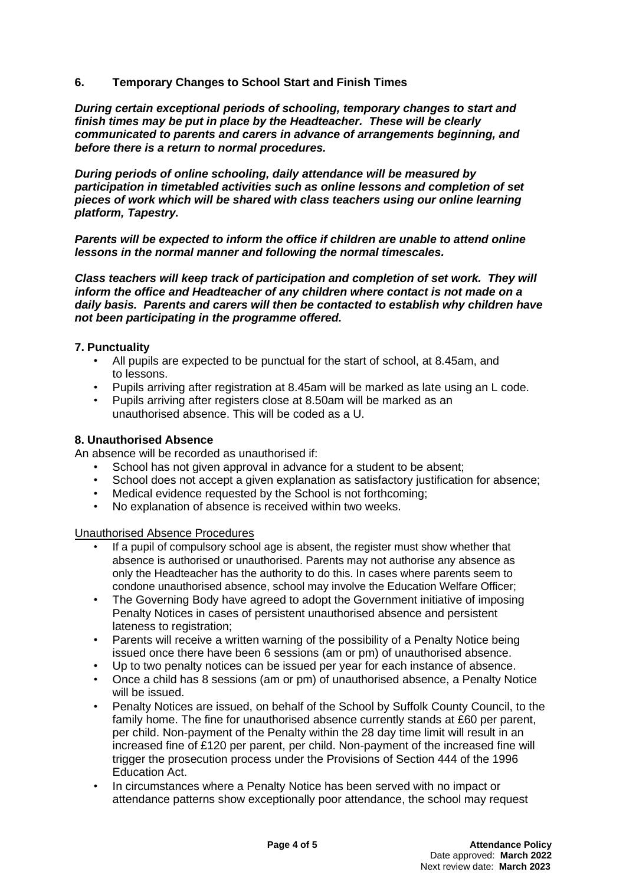**6. Temporary Changes to School Start and Finish Times**

*During certain exceptional periods of schooling, temporary changes to start and finish times may be put in place by the Headteacher. These will be clearly communicated to parents and carers in advance of arrangements beginning, and before there is a return to normal procedures.*

*During periods of online schooling, daily attendance will be measured by participation in timetabled activities such as online lessons and completion of set pieces of work which will be shared with class teachers using our online learning platform, Tapestry.*

*Parents will be expected to inform the office if children are unable to attend online lessons in the normal manner and following the normal timescales.* 

*Class teachers will keep track of participation and completion of set work. They will inform the office and Headteacher of any children where contact is not made on a daily basis. Parents and carers will then be contacted to establish why children have not been participating in the programme offered.* 

#### **7. Punctuality**

- All pupils are expected to be punctual for the start of school, at 8.45am, and to lessons.
- Pupils arriving after registration at 8.45am will be marked as late using an L code.
- Pupils arriving after registers close at 8.50am will be marked as an unauthorised absence. This will be coded as a U.

#### **8. Unauthorised Absence**

An absence will be recorded as unauthorised if:

- School has not given approval in advance for a student to be absent;
- School does not accept a given explanation as satisfactory justification for absence;
- Medical evidence requested by the School is not forthcoming;
- No explanation of absence is received within two weeks.

Unauthorised Absence Procedures

- If a pupil of compulsory school age is absent, the register must show whether that absence is authorised or unauthorised. Parents may not authorise any absence as only the Headteacher has the authority to do this. In cases where parents seem to condone unauthorised absence, school may involve the Education Welfare Officer;
- The Governing Body have agreed to adopt the Government initiative of imposing Penalty Notices in cases of persistent unauthorised absence and persistent lateness to registration;
- Parents will receive a written warning of the possibility of a Penalty Notice being issued once there have been 6 sessions (am or pm) of unauthorised absence.
- Up to two penalty notices can be issued per year for each instance of absence.
- Once a child has 8 sessions (am or pm) of unauthorised absence, a Penalty Notice will be issued.
- Penalty Notices are issued, on behalf of the School by Suffolk County Council, to the family home. The fine for unauthorised absence currently stands at £60 per parent, per child. Non-payment of the Penalty within the 28 day time limit will result in an increased fine of £120 per parent, per child. Non-payment of the increased fine will trigger the prosecution process under the Provisions of Section 444 of the 1996 Education Act.
- In circumstances where a Penalty Notice has been served with no impact or attendance patterns show exceptionally poor attendance, the school may request